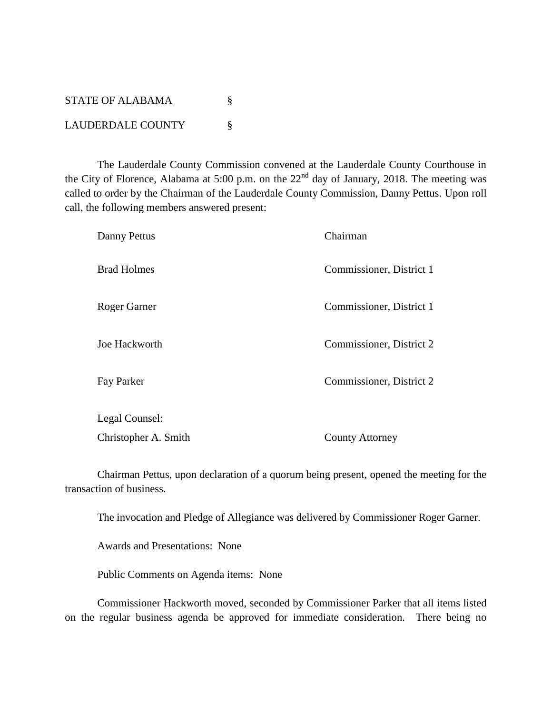| STATE OF ALABAMA         |  |
|--------------------------|--|
| <b>LAUDERDALE COUNTY</b> |  |

The Lauderdale County Commission convened at the Lauderdale County Courthouse in the City of Florence, Alabama at 5:00 p.m. on the  $22<sup>nd</sup>$  day of January, 2018. The meeting was called to order by the Chairman of the Lauderdale County Commission, Danny Pettus. Upon roll call, the following members answered present:

| Danny Pettus         | Chairman                 |
|----------------------|--------------------------|
| <b>Brad Holmes</b>   | Commissioner, District 1 |
| Roger Garner         | Commissioner, District 1 |
| Joe Hackworth        | Commissioner, District 2 |
| Fay Parker           | Commissioner, District 2 |
| Legal Counsel:       |                          |
| Christopher A. Smith | <b>County Attorney</b>   |

Chairman Pettus, upon declaration of a quorum being present, opened the meeting for the transaction of business.

The invocation and Pledge of Allegiance was delivered by Commissioner Roger Garner.

Awards and Presentations: None

Public Comments on Agenda items: None

Commissioner Hackworth moved, seconded by Commissioner Parker that all items listed on the regular business agenda be approved for immediate consideration. There being no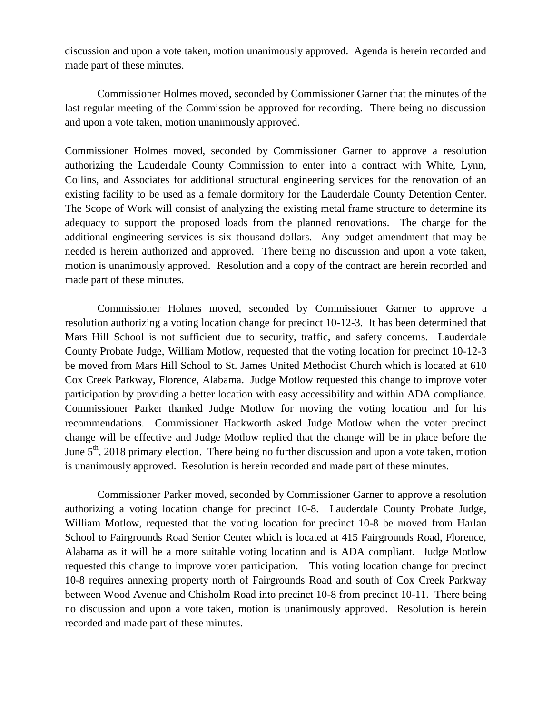discussion and upon a vote taken, motion unanimously approved. Agenda is herein recorded and made part of these minutes.

Commissioner Holmes moved, seconded by Commissioner Garner that the minutes of the last regular meeting of the Commission be approved for recording. There being no discussion and upon a vote taken, motion unanimously approved.

Commissioner Holmes moved, seconded by Commissioner Garner to approve a resolution authorizing the Lauderdale County Commission to enter into a contract with White, Lynn, Collins, and Associates for additional structural engineering services for the renovation of an existing facility to be used as a female dormitory for the Lauderdale County Detention Center. The Scope of Work will consist of analyzing the existing metal frame structure to determine its adequacy to support the proposed loads from the planned renovations. The charge for the additional engineering services is six thousand dollars. Any budget amendment that may be needed is herein authorized and approved. There being no discussion and upon a vote taken, motion is unanimously approved. Resolution and a copy of the contract are herein recorded and made part of these minutes.

Commissioner Holmes moved, seconded by Commissioner Garner to approve a resolution authorizing a voting location change for precinct 10-12-3. It has been determined that Mars Hill School is not sufficient due to security, traffic, and safety concerns. Lauderdale County Probate Judge, William Motlow, requested that the voting location for precinct 10-12-3 be moved from Mars Hill School to St. James United Methodist Church which is located at 610 Cox Creek Parkway, Florence, Alabama. Judge Motlow requested this change to improve voter participation by providing a better location with easy accessibility and within ADA compliance. Commissioner Parker thanked Judge Motlow for moving the voting location and for his recommendations. Commissioner Hackworth asked Judge Motlow when the voter precinct change will be effective and Judge Motlow replied that the change will be in place before the June  $5<sup>th</sup>$ , 2018 primary election. There being no further discussion and upon a vote taken, motion is unanimously approved. Resolution is herein recorded and made part of these minutes.

Commissioner Parker moved, seconded by Commissioner Garner to approve a resolution authorizing a voting location change for precinct 10-8. Lauderdale County Probate Judge, William Motlow, requested that the voting location for precinct 10-8 be moved from Harlan School to Fairgrounds Road Senior Center which is located at 415 Fairgrounds Road, Florence, Alabama as it will be a more suitable voting location and is ADA compliant. Judge Motlow requested this change to improve voter participation. This voting location change for precinct 10-8 requires annexing property north of Fairgrounds Road and south of Cox Creek Parkway between Wood Avenue and Chisholm Road into precinct 10-8 from precinct 10-11. There being no discussion and upon a vote taken, motion is unanimously approved. Resolution is herein recorded and made part of these minutes.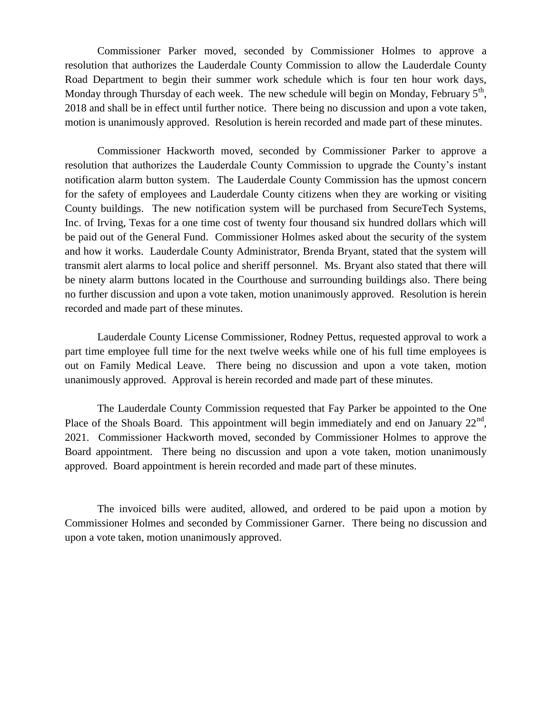Commissioner Parker moved, seconded by Commissioner Holmes to approve a resolution that authorizes the Lauderdale County Commission to allow the Lauderdale County Road Department to begin their summer work schedule which is four ten hour work days, Monday through Thursday of each week. The new schedule will begin on Monday, February  $5<sup>th</sup>$ , 2018 and shall be in effect until further notice. There being no discussion and upon a vote taken, motion is unanimously approved. Resolution is herein recorded and made part of these minutes.

Commissioner Hackworth moved, seconded by Commissioner Parker to approve a resolution that authorizes the Lauderdale County Commission to upgrade the County's instant notification alarm button system. The Lauderdale County Commission has the upmost concern for the safety of employees and Lauderdale County citizens when they are working or visiting County buildings. The new notification system will be purchased from SecureTech Systems, Inc. of Irving, Texas for a one time cost of twenty four thousand six hundred dollars which will be paid out of the General Fund. Commissioner Holmes asked about the security of the system and how it works. Lauderdale County Administrator, Brenda Bryant, stated that the system will transmit alert alarms to local police and sheriff personnel. Ms. Bryant also stated that there will be ninety alarm buttons located in the Courthouse and surrounding buildings also. There being no further discussion and upon a vote taken, motion unanimously approved. Resolution is herein recorded and made part of these minutes.

Lauderdale County License Commissioner, Rodney Pettus, requested approval to work a part time employee full time for the next twelve weeks while one of his full time employees is out on Family Medical Leave. There being no discussion and upon a vote taken, motion unanimously approved. Approval is herein recorded and made part of these minutes.

The Lauderdale County Commission requested that Fay Parker be appointed to the One Place of the Shoals Board. This appointment will begin immediately and end on January  $22<sup>nd</sup>$ , 2021. Commissioner Hackworth moved, seconded by Commissioner Holmes to approve the Board appointment. There being no discussion and upon a vote taken, motion unanimously approved. Board appointment is herein recorded and made part of these minutes.

The invoiced bills were audited, allowed, and ordered to be paid upon a motion by Commissioner Holmes and seconded by Commissioner Garner. There being no discussion and upon a vote taken, motion unanimously approved.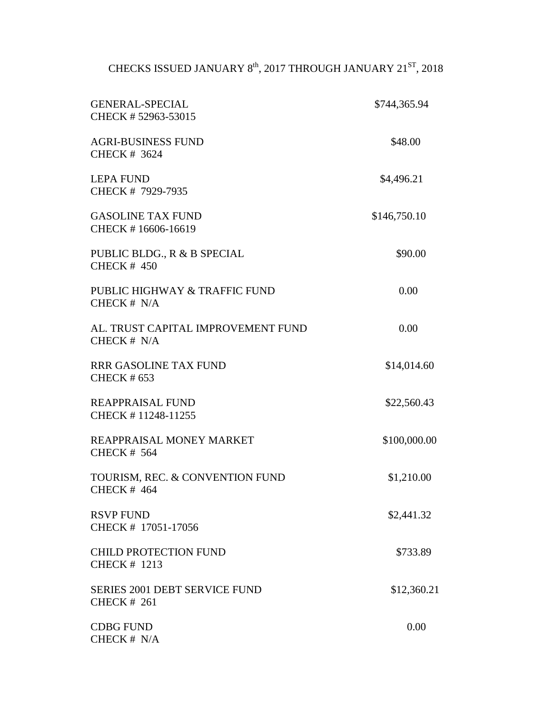## CHECKS ISSUED JANUARY 8<sup>th</sup>, 2017 THROUGH JANUARY 21<sup>ST</sup>, 2018

| <b>GENERAL-SPECIAL</b><br>CHECK #52963-53015               | \$744,365.94 |
|------------------------------------------------------------|--------------|
| <b>AGRI-BUSINESS FUND</b><br><b>CHECK # 3624</b>           | \$48.00      |
| <b>LEPA FUND</b><br>CHECK # 7929-7935                      | \$4,496.21   |
| <b>GASOLINE TAX FUND</b><br>CHECK #16606-16619             | \$146,750.10 |
| PUBLIC BLDG., R & B SPECIAL<br><b>CHECK # 450</b>          | \$90.00      |
| PUBLIC HIGHWAY & TRAFFIC FUND<br>CHECK $# N/A$             | 0.00         |
| AL. TRUST CAPITAL IMPROVEMENT FUND<br>CHECK # N/A          | 0.00         |
| <b>RRR GASOLINE TAX FUND</b><br><b>CHECK #653</b>          | \$14,014.60  |
| <b>REAPPRAISAL FUND</b><br>CHECK #11248-11255              | \$22,560.43  |
| REAPPRAISAL MONEY MARKET<br><b>CHECK # 564</b>             | \$100,000.00 |
| TOURISM, REC. & CONVENTION FUND<br><b>CHECK # 464</b>      | \$1,210.00   |
| <b>RSVP FUND</b><br>CHECK # 17051-17056                    | \$2,441.32   |
| <b>CHILD PROTECTION FUND</b><br><b>CHECK # 1213</b>        | \$733.89     |
| <b>SERIES 2001 DEBT SERVICE FUND</b><br><b>CHECK # 261</b> | \$12,360.21  |
| <b>CDBG FUND</b><br>CHECK # N/A                            | 0.00         |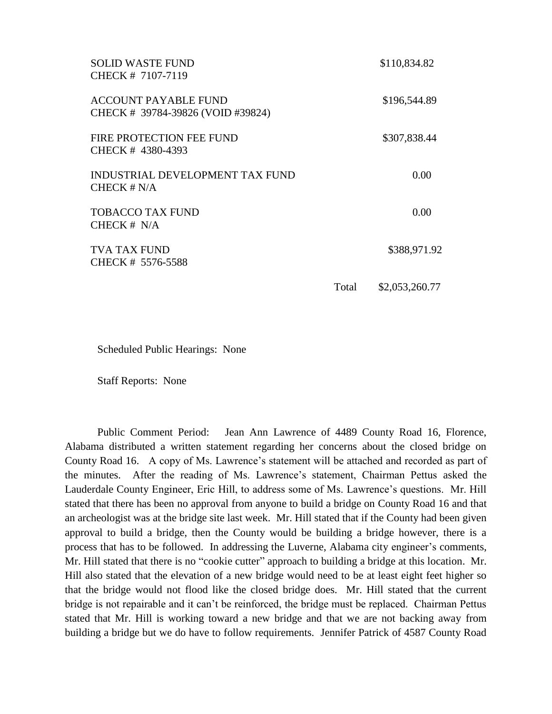| <b>SOLID WASTE FUND</b><br>CHECK # 7107-7119                     |       | \$110,834.82   |
|------------------------------------------------------------------|-------|----------------|
| <b>ACCOUNT PAYABLE FUND</b><br>CHECK # 39784-39826 (VOID #39824) |       | \$196,544.89   |
| FIRE PROTECTION FEE FUND<br>CHECK #4380-4393                     |       | \$307,838.44   |
| INDUSTRIAL DEVELOPMENT TAX FUND<br>CHECK $# N/A$                 |       | 0.00           |
| <b>TOBACCO TAX FUND</b><br>CHECK $# N/A$                         |       | 0.00           |
| <b>TVA TAX FUND</b><br>CHECK # 5576-5588                         |       | \$388,971.92   |
|                                                                  | Total | \$2,053,260.77 |

Scheduled Public Hearings: None

Staff Reports: None

Public Comment Period: Jean Ann Lawrence of 4489 County Road 16, Florence, Alabama distributed a written statement regarding her concerns about the closed bridge on County Road 16. A copy of Ms. Lawrence's statement will be attached and recorded as part of the minutes. After the reading of Ms. Lawrence's statement, Chairman Pettus asked the Lauderdale County Engineer, Eric Hill, to address some of Ms. Lawrence's questions. Mr. Hill stated that there has been no approval from anyone to build a bridge on County Road 16 and that an archeologist was at the bridge site last week. Mr. Hill stated that if the County had been given approval to build a bridge, then the County would be building a bridge however, there is a process that has to be followed. In addressing the Luverne, Alabama city engineer's comments, Mr. Hill stated that there is no "cookie cutter" approach to building a bridge at this location. Mr. Hill also stated that the elevation of a new bridge would need to be at least eight feet higher so that the bridge would not flood like the closed bridge does. Mr. Hill stated that the current bridge is not repairable and it can't be reinforced, the bridge must be replaced. Chairman Pettus stated that Mr. Hill is working toward a new bridge and that we are not backing away from building a bridge but we do have to follow requirements. Jennifer Patrick of 4587 County Road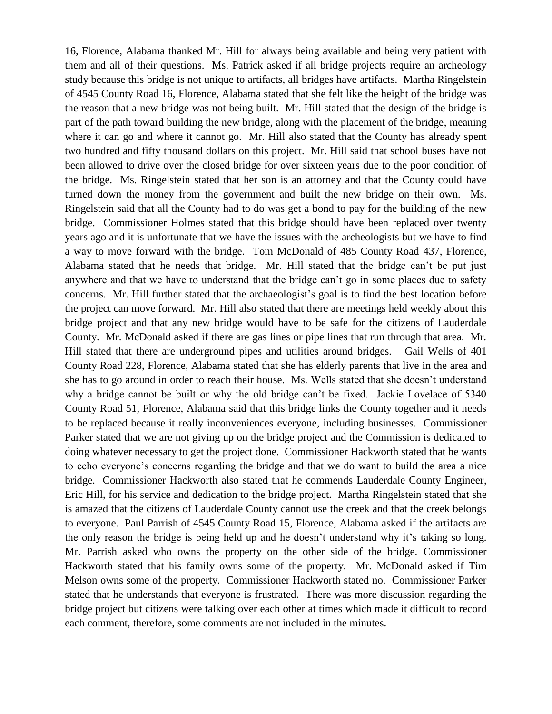16, Florence, Alabama thanked Mr. Hill for always being available and being very patient with them and all of their questions. Ms. Patrick asked if all bridge projects require an archeology study because this bridge is not unique to artifacts, all bridges have artifacts. Martha Ringelstein of 4545 County Road 16, Florence, Alabama stated that she felt like the height of the bridge was the reason that a new bridge was not being built. Mr. Hill stated that the design of the bridge is part of the path toward building the new bridge, along with the placement of the bridge, meaning where it can go and where it cannot go. Mr. Hill also stated that the County has already spent two hundred and fifty thousand dollars on this project. Mr. Hill said that school buses have not been allowed to drive over the closed bridge for over sixteen years due to the poor condition of the bridge. Ms. Ringelstein stated that her son is an attorney and that the County could have turned down the money from the government and built the new bridge on their own. Ms. Ringelstein said that all the County had to do was get a bond to pay for the building of the new bridge. Commissioner Holmes stated that this bridge should have been replaced over twenty years ago and it is unfortunate that we have the issues with the archeologists but we have to find a way to move forward with the bridge. Tom McDonald of 485 County Road 437, Florence, Alabama stated that he needs that bridge. Mr. Hill stated that the bridge can't be put just anywhere and that we have to understand that the bridge can't go in some places due to safety concerns. Mr. Hill further stated that the archaeologist's goal is to find the best location before the project can move forward. Mr. Hill also stated that there are meetings held weekly about this bridge project and that any new bridge would have to be safe for the citizens of Lauderdale County. Mr. McDonald asked if there are gas lines or pipe lines that run through that area. Mr. Hill stated that there are underground pipes and utilities around bridges. Gail Wells of 401 County Road 228, Florence, Alabama stated that she has elderly parents that live in the area and she has to go around in order to reach their house. Ms. Wells stated that she doesn't understand why a bridge cannot be built or why the old bridge can't be fixed. Jackie Lovelace of 5340 County Road 51, Florence, Alabama said that this bridge links the County together and it needs to be replaced because it really inconveniences everyone, including businesses. Commissioner Parker stated that we are not giving up on the bridge project and the Commission is dedicated to doing whatever necessary to get the project done. Commissioner Hackworth stated that he wants to echo everyone's concerns regarding the bridge and that we do want to build the area a nice bridge. Commissioner Hackworth also stated that he commends Lauderdale County Engineer, Eric Hill, for his service and dedication to the bridge project. Martha Ringelstein stated that she is amazed that the citizens of Lauderdale County cannot use the creek and that the creek belongs to everyone. Paul Parrish of 4545 County Road 15, Florence, Alabama asked if the artifacts are the only reason the bridge is being held up and he doesn't understand why it's taking so long. Mr. Parrish asked who owns the property on the other side of the bridge. Commissioner Hackworth stated that his family owns some of the property. Mr. McDonald asked if Tim Melson owns some of the property. Commissioner Hackworth stated no. Commissioner Parker stated that he understands that everyone is frustrated. There was more discussion regarding the bridge project but citizens were talking over each other at times which made it difficult to record each comment, therefore, some comments are not included in the minutes.